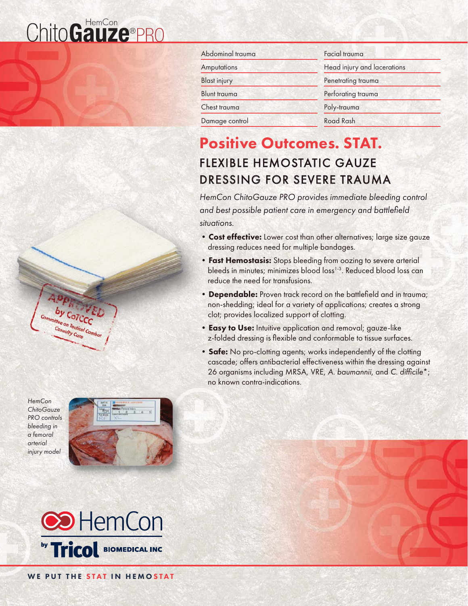# ChitoGauze®PRO



*HemCon ChitoGauze PRO controls bleeding in a femoral arterial injury model* 





| Abdominal trauma    | Facial trauma               |  |
|---------------------|-----------------------------|--|
| Amputations         | Head injury and lacerations |  |
| <b>Blast injury</b> | Penetrating trauma          |  |
| <b>Blunt trauma</b> | Perforating trauma          |  |
| Chest trauma        | Poly-trauma                 |  |
| Damage control      | Road Rash                   |  |

# Positive Outcomes. STAT. **FLEXIBLE HEMOSTATIC GAUZE** DRESSING FOR SEVERE TRAUMA

**HemCon ChitoGauze PRO provides immediate bleeding control** and best possible patient care in emergency and battlefield *situations. ituations.*

- Cost effective: Lower cost than other alternatives; large size gauze dressing reduces need for multiple bandages.
- Fast Hemostasis: Stops bleeding from oozing to severe arterial bleeds in minutes; minimizes blood loss<sup>1-3</sup>. Reduced blood loss can reduce the need for transfusions.
- Dependable: Proven track record on the battlefield and in trauma; non-shedding; ideal for a variety of applications; creates a strong clot; provides localized support of clotting.
- Easy to Use: Intuitive application and removal; gauze-like z-folded dressing is flexible and conformable to tissue surfaces.
- Safe: No pro-clotting agents; works independently of the clotting cascade; offers antibacterial effectiveness within the dressing against 26 organisms including MRSA, VRE, A. baumannii, and C. difficile<sup>\*</sup>; no known contra-indications.

WE PUT THE STAT IN HEMOSTAT